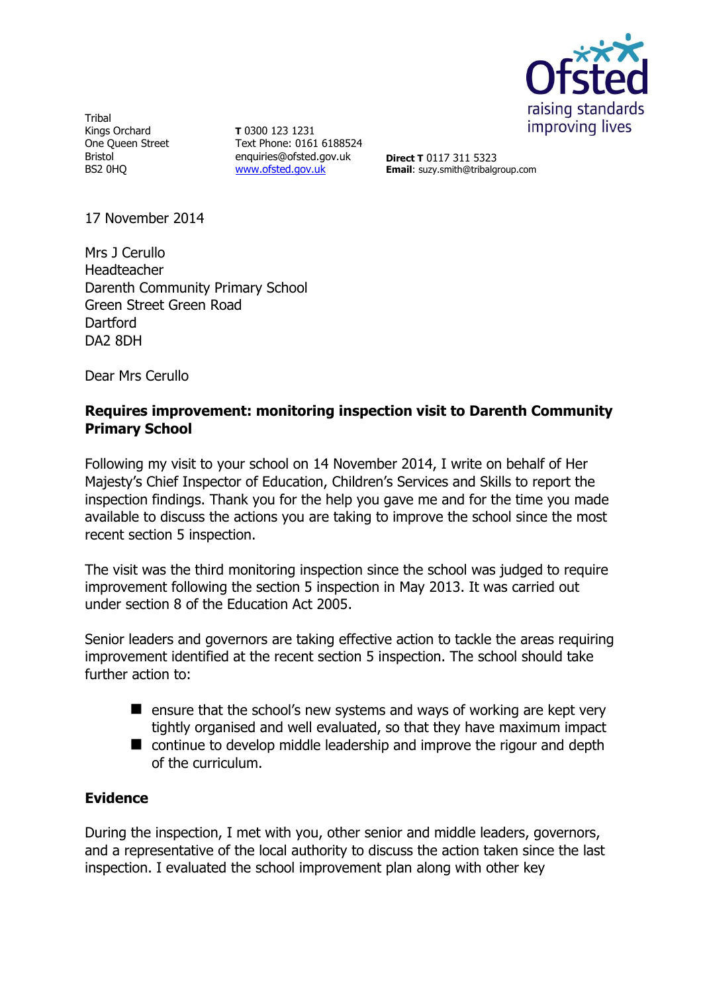

Tribal Kings Orchard One Queen Street Bristol BS2 0HQ

**T** 0300 123 1231 Text Phone: 0161 6188524 enquiries@ofsted.gov.uk [www.ofsted.gov.uk](http://www.ofsted.gov.uk/)

**Direct T** 0117 311 5323 **Email**: suzy.smith@tribalgroup.com

17 November 2014

Mrs J Cerullo Headteacher Darenth Community Primary School Green Street Green Road **Dartford** DA2 8DH

Dear Mrs Cerullo

# **Requires improvement: monitoring inspection visit to Darenth Community Primary School**

Following my visit to your school on 14 November 2014, I write on behalf of Her Majesty's Chief Inspector of Education, Children's Services and Skills to report the inspection findings. Thank you for the help you gave me and for the time you made available to discuss the actions you are taking to improve the school since the most recent section 5 inspection.

The visit was the third monitoring inspection since the school was judged to require improvement following the section 5 inspection in May 2013. It was carried out under section 8 of the Education Act 2005.

Senior leaders and governors are taking effective action to tackle the areas requiring improvement identified at the recent section 5 inspection. The school should take further action to:

- $\blacksquare$  ensure that the school's new systems and ways of working are kept very tightly organised and well evaluated, so that they have maximum impact
- **E** continue to develop middle leadership and improve the rigour and depth of the curriculum.

# **Evidence**

During the inspection, I met with you, other senior and middle leaders, governors, and a representative of the local authority to discuss the action taken since the last inspection. I evaluated the school improvement plan along with other key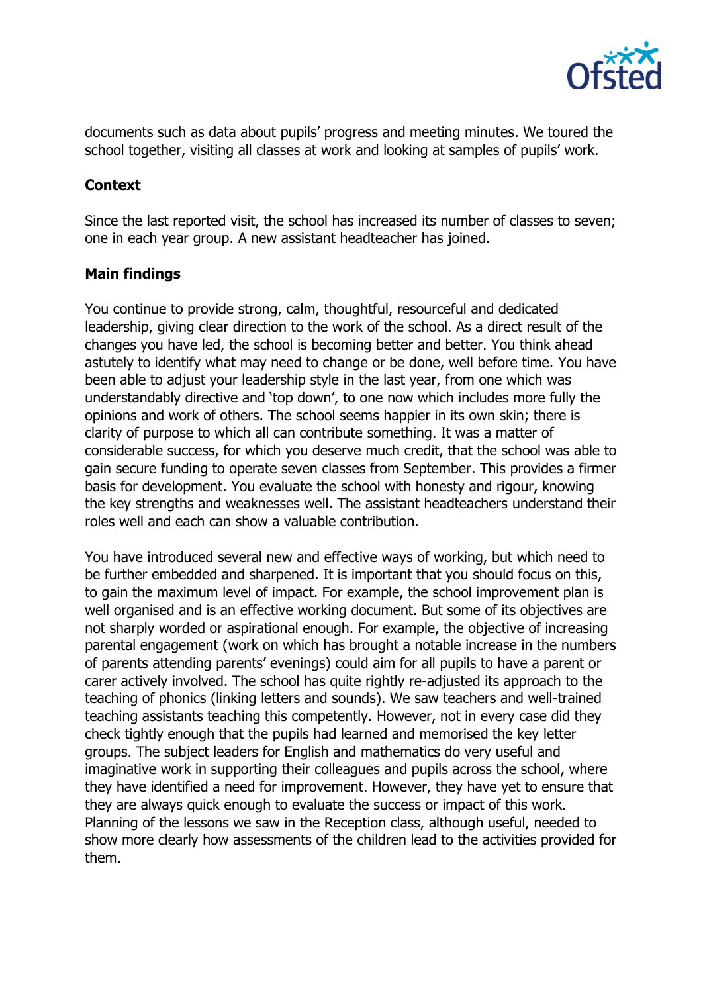

documents such as data about pupils' progress and meeting minutes. We toured the school together, visiting all classes at work and looking at samples of pupils' work.

# **Context**

Since the last reported visit, the school has increased its number of classes to seven; one in each year group. A new assistant headteacher has joined.

# **Main findings**

You continue to provide strong, calm, thoughtful, resourceful and dedicated leadership, giving clear direction to the work of the school. As a direct result of the changes you have led, the school is becoming better and better. You think ahead astutely to identify what may need to change or be done, well before time. You have been able to adjust your leadership style in the last year, from one which was understandably directive and 'top down', to one now which includes more fully the opinions and work of others. The school seems happier in its own skin; there is clarity of purpose to which all can contribute something. It was a matter of considerable success, for which you deserve much credit, that the school was able to gain secure funding to operate seven classes from September. This provides a firmer basis for development. You evaluate the school with honesty and rigour, knowing the key strengths and weaknesses well. The assistant headteachers understand their roles well and each can show a valuable contribution.

You have introduced several new and effective ways of working, but which need to be further embedded and sharpened. It is important that you should focus on this, to gain the maximum level of impact. For example, the school improvement plan is well organised and is an effective working document. But some of its objectives are not sharply worded or aspirational enough. For example, the objective of increasing parental engagement (work on which has brought a notable increase in the numbers of parents attending parents' evenings) could aim for all pupils to have a parent or carer actively involved. The school has quite rightly re-adjusted its approach to the teaching of phonics (linking letters and sounds). We saw teachers and well-trained teaching assistants teaching this competently. However, not in every case did they check tightly enough that the pupils had learned and memorised the key letter groups. The subject leaders for English and mathematics do very useful and imaginative work in supporting their colleagues and pupils across the school, where they have identified a need for improvement. However, they have yet to ensure that they are always quick enough to evaluate the success or impact of this work. Planning of the lessons we saw in the Reception class, although useful, needed to show more clearly how assessments of the children lead to the activities provided for them.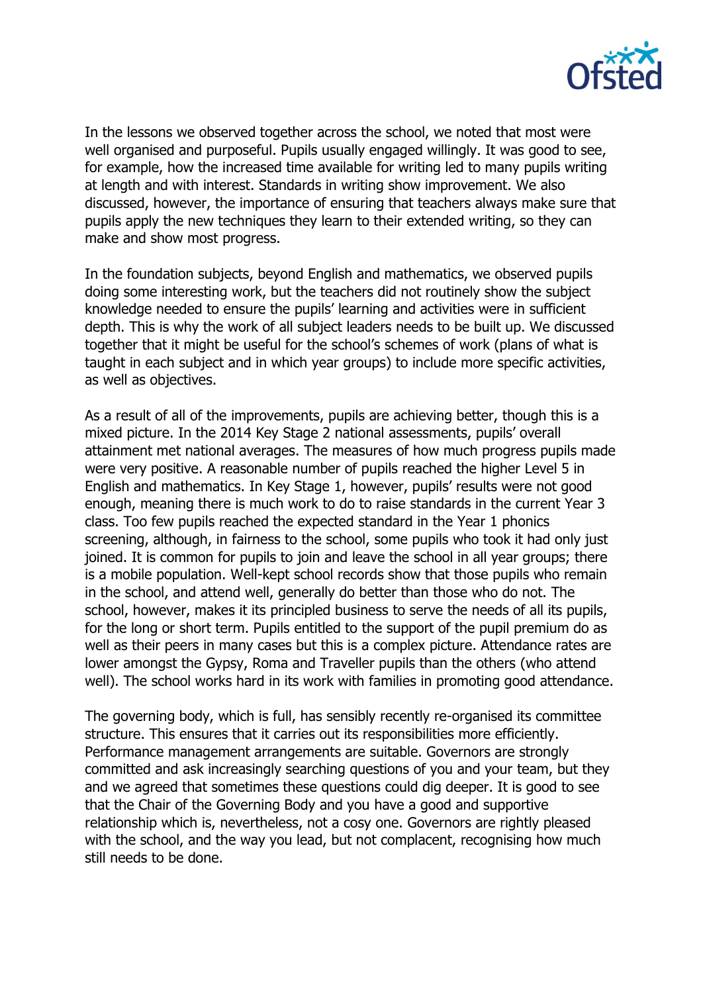

In the lessons we observed together across the school, we noted that most were well organised and purposeful. Pupils usually engaged willingly. It was good to see, for example, how the increased time available for writing led to many pupils writing at length and with interest. Standards in writing show improvement. We also discussed, however, the importance of ensuring that teachers always make sure that pupils apply the new techniques they learn to their extended writing, so they can make and show most progress.

In the foundation subjects, beyond English and mathematics, we observed pupils doing some interesting work, but the teachers did not routinely show the subject knowledge needed to ensure the pupils' learning and activities were in sufficient depth. This is why the work of all subject leaders needs to be built up. We discussed together that it might be useful for the school's schemes of work (plans of what is taught in each subject and in which year groups) to include more specific activities, as well as objectives.

As a result of all of the improvements, pupils are achieving better, though this is a mixed picture. In the 2014 Key Stage 2 national assessments, pupils' overall attainment met national averages. The measures of how much progress pupils made were very positive. A reasonable number of pupils reached the higher Level 5 in English and mathematics. In Key Stage 1, however, pupils' results were not good enough, meaning there is much work to do to raise standards in the current Year 3 class. Too few pupils reached the expected standard in the Year 1 phonics screening, although, in fairness to the school, some pupils who took it had only just joined. It is common for pupils to join and leave the school in all year groups; there is a mobile population. Well-kept school records show that those pupils who remain in the school, and attend well, generally do better than those who do not. The school, however, makes it its principled business to serve the needs of all its pupils, for the long or short term. Pupils entitled to the support of the pupil premium do as well as their peers in many cases but this is a complex picture. Attendance rates are lower amongst the Gypsy, Roma and Traveller pupils than the others (who attend well). The school works hard in its work with families in promoting good attendance.

The governing body, which is full, has sensibly recently re-organised its committee structure. This ensures that it carries out its responsibilities more efficiently. Performance management arrangements are suitable. Governors are strongly committed and ask increasingly searching questions of you and your team, but they and we agreed that sometimes these questions could dig deeper. It is good to see that the Chair of the Governing Body and you have a good and supportive relationship which is, nevertheless, not a cosy one. Governors are rightly pleased with the school, and the way you lead, but not complacent, recognising how much still needs to be done.